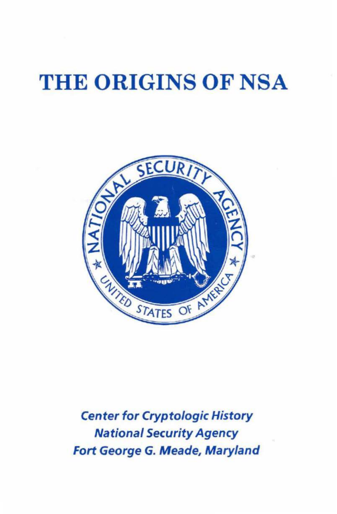## THE ORIGINS OF NSA



Center for Cryptologic History National Security Agency Fort George G. Meade, Maryland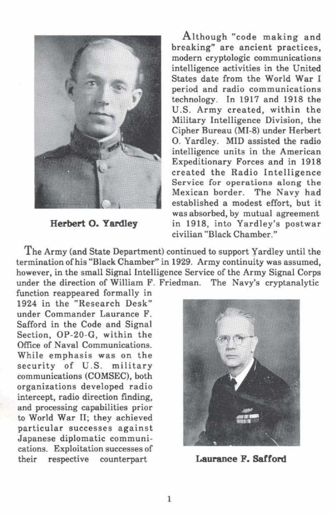

**Herbert 0. Yardley** 

Although "code making and breaking" are ancient practices, modern cryptologic communications intelligence activities in the United States date from the World War I period and radio communications technology. In 1917 and 1918 the U.S. Army created, within the Military Intelligence Division, the Cipher Bureau (Ml-8) under Herbert 0. Yardley. MID assisted the radio intelligence units in the American Expeditionary Forces and in 1918 created the Radio Intelligence Service for operations along the Mexican border. The Navy had established a modest effort, but it was absorbed, by mutual agreement in 1918, into Yardley's postwar civilian "Black Chamber."

The Army (and State Department) continued to support Yardley until the termination of his "Black Chamber" in 1929. Army continuity was assumed, however, in the small Signal Intelligence Service of the Army Signal Corps under the direction of William F. Friedman. The Navy's cryptanalytic

function reappeared formally in 1924 in the "Research Desk" under Commander Laurance F. Safford in the Code and Signal Section, OP-20-G, within the Office of Naval Communications. While emphasis was on the security of U.S. military communications (COMSEC), both organizations developed radio intercept, radio direction finding, and processing capabilities prior to World War II; they achieved particular successes against Japanese diplomatic communications. Exploitation successes of their respective counterpart



**Laurance F. Safford**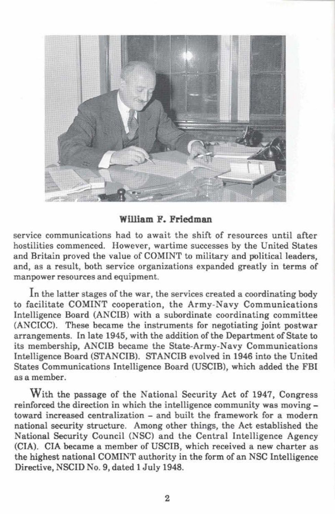

**William F. Friedman** 

service communications had to await the shift of resources until after hostilities commenced. However, wartime successes by the United States and Britain proved the value of COMINT to military and political leaders, and, as a result, both service organizations expanded greatly in terms of manpower resources and equipment.

In the latter stages of the war, the services created a coordinating body to facilitate COMINT cooperation, the Army-Navy Communications Intelligence Board (ANCIB) with a subordinate coordinating committee (ANCICC). These became the instruments for negotiating joint postwar arrangements. In late 1945, with the addition of the Department of State to its membership, ANCIB became the State-Army-Navy Communications Intelligence Board (STANCIB). STANCIB evolved in 1946 into the United States Communications Intelligence Board (USCIB), which added the FBI asa member.

With the passage of the National Security Act of 1947, Congress reinforced the direction in which the intelligence community was moving toward increased centralization - and built the framework for a modern national security structure. Among other things, the Act established the National Security Council (NSC) and the Central Intelligence Agency (CIA). CIA became a member of USCIB, which received a new charter as the highest national COMINT authority in the form of an NSC Intelligence Directive, NSCID No. 9, dated 1 July 1948.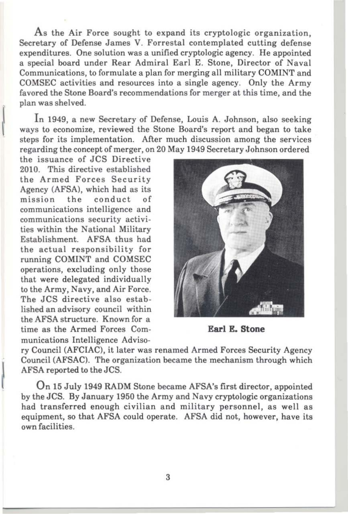As the Air Force sought to expand its cryptologic organization, Secretary of Defense James V. Forrestal contemplated cutting defense expenditures. One solution was a unified cryptologic agency. He appointed a special board under Rear Admiral Earl E. Stone, Director of Naval Communications, to formulate a plan for merging all military COMINT and COMSEC activities and resources into a single agency. Only the Army favored the Stone Board's recommendations for merger at this time, and the plan was shelved.

In 1949, a new Secretary of Defense, Louis A. Johnson, also seeking ways to economize, reviewed the Stone Board's report and began to take steps for its implementation. After much discussion among the services regarding the concept of merger, on 20 May 1949 Secretary Johnson ordered

the issuance of JCS Directive 2010. This directive established the Armed Forces Security Agency (AFSA), which had as its<br>mission the conduct of the conduct of communications intelligence and communications security activities within the National Military Establishment. AFSA thus had the actual responsibility for running COMINT and COMSEC operations, excluding only those that were delegated individually to the Army, Navy, and Air Force. The JCS directive also established an advisory council within the AFSA structure. Known for a time as the Armed Forces Communications Intelligence Adviso-

 $\begin{array}{c} \begin{array}{c} \begin{array}{c} \end{array} \\ \begin{array}{c} \end{array} \end{array} \end{array}$ 



**Earl E. Stone** 

ry Council (AFCIAC), it later was renamed Armed Forces Security Agency Council (AFSAC). The organization became the mechanism through which AFSA reported to the JCS.

On 15 July 1949 RADM Stone became AFSA's first director, appointed by the JCS. By January 1950 the Army and Navy cryptologic organizations had transferred enough civilian and military personnel, as well as equipment, so that AFSA could operate. AFSA did not, however, have its own facilities.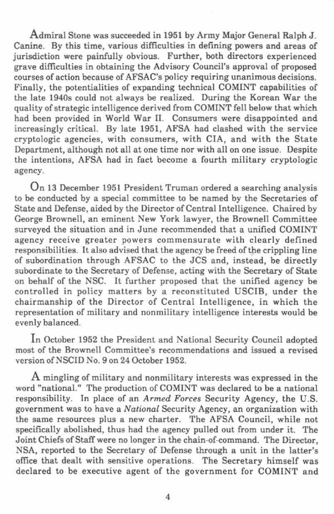Admiral Stone was succeeded in 1951 by Army Major General Ralph J. Canine. By this time, various difficulties in defining powers and areas of jurisdiction were painfully obvious. Further, both directors experienced grave difficulties in obtaining the Advisory Council's approval of proposed courses of action because of AFSAC's policy requiring unanimous decisions. Finally, the potentialities of expanding technical COMINT capabilities of the late 1940s could not always be realized. During the Korean War the quality of strategic intelligence derived from COMINT fell below that which had been provided in World War ll. Consumers were disappointed and increasingly critical. By late 1951, AFSA had clashed with the service cryptologic agencies, with consumers, with CIA, and with the State Department, although not all at one time nor with all on one issue. Despite the intentions, AFSA had in fact become a fourth military cryptologic agency.

On 13 December 1951 President Truman ordered a searching analysis to be conducted by a special committee to be named by the Secretaries of State and Defense, aided by the Director of Central Intelligence. Chaired by George Brownell, an eminent New York lawyer, the Brownell Committee surveyed the situation and in June recommended that a unified COMINT agency receive greater powers commensurate with clearly defined responsibilities. It also advised that the agency be freed of the crippling line of subordination through AFSAC to the JCS and, instead, be directly subordinate to the Secretary of Defense, acting with the Secretary of State on behalf of the NSC. It further proposed that the unified agency be controlled in policy matters by a reconstituted USCIB, under the chairmanship of the Director of Central Intelligence, in which the representation of military and nonmilitary intelligence interests would be evenly balanced.

In October 1952 the President and National Security Council adopted most of the Brownell Committee's recommendations and issued a revised version of NSCID No. 9 on 24 October 1952.

A mingling of military and nonmilitary interests was expressed in the word "national." The production of COMINT was declared to be a national responsibility. In place of an *Armed Forces* Security Agency, the U.S. government was to have a *National* Security Agency, an organization with the same resources plus a new charter. The AFSA Council, while not specifically abolished, thus had the agency pulled out from under it. The Joint Chiefs of Staff were no longer in the chain-of-command. The Director, NSA, reported to the Secretary of Defense through a unit in the latter's office that dealt with sensitive operations. The Secretary himself was declared to be executive agent of the government for COMINT and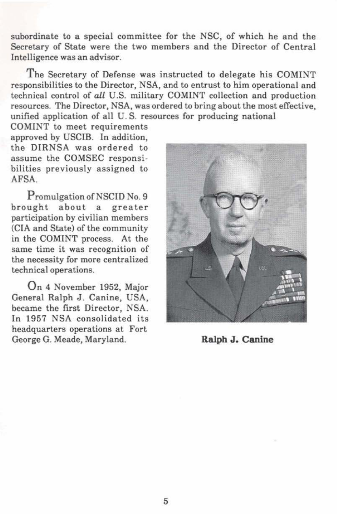subordinate to a special committee for the NSC, of which he and the Secretary of State were the two members and the Director of Central Intelligence was an advisor.

The Secretary of Defense was instructed to delegate his COMINT responsibilities to the Director, NSA, and to entrust to him operational and technical control of *all* U.S. military COMINT collection and production resources. The Director, NSA, was ordered to bring about the most effective, unified application of all U. S. resources for producing national

COMINT to meet requirements approved by USCIB. In addition, the DIRNSA was ordered to assume the COMSEC responsibilities previously assigned to AFSA.

Promulgation of NSCID No. 9<br>brought about a greater about a participation by civilian members (CIA and State) of the community in the COMINT process. At the same time it was recognition of the necessity for more centralized technical operations.

On 4 November 1952, Major General Ralph J. Canine, USA, became the first Director, NSA. In 1957 NSA consolidated its headquarters operations at Fort George G. Meade, Maryland. **Ralph J. Canine**